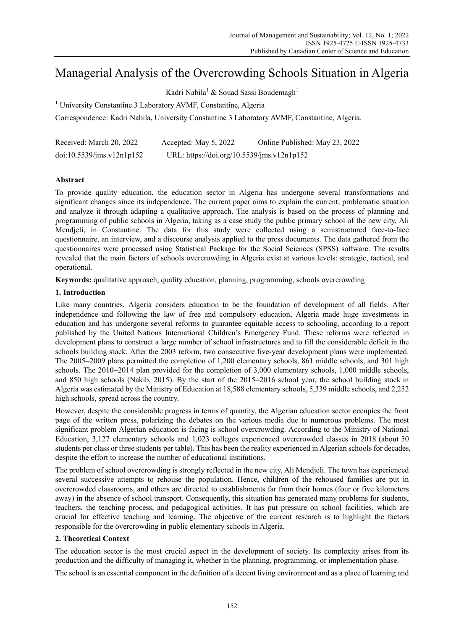# Managerial Analysis of the Overcrowding Schools Situation in Algeria

Kadri Nabila $^1$  & Souad Sassi Boudemagh $^1$ 

<sup>1</sup> University Constantine 3 Laboratory AVMF, Constantine, Algeria

Correspondence: Kadri Nabila, University Constantine 3 Laboratory AVMF, Constantine, Algeria.

| Received: March 20, 2022  | Accepted: May 5, 2022                      | Online Published: May 23, 2022 |
|---------------------------|--------------------------------------------|--------------------------------|
| doi:10.5539/ims.v12n1p152 | URL: https://doi.org/10.5539/jms.v12n1p152 |                                |

# **Abstract**

To provide quality education, the education sector in Algeria has undergone several transformations and significant changes since its independence. The current paper aims to explain the current, problematic situation and analyze it through adapting a qualitative approach. The analysis is based on the process of planning and programming of public schools in Algeria, taking as a case study the public primary school of the new city, Ali Mendjeli, in Constantine. The data for this study were collected using a semistructured face-to-face questionnaire, an interview, and a discourse analysis applied to the press documents. The data gathered from the questionnaires were processed using Statistical Package for the Social Sciences (SPSS) software. The results revealed that the main factors of schools overcrowding in Algeria exist at various levels: strategic, tactical, and operational.

**Keywords:** qualitative approach, quality education, planning, programming, schools overcrowding

# **1. Introduction**

Like many countries, Algeria considers education to be the foundation of development of all fields. After independence and following the law of free and compulsory education, Algeria made huge investments in education and has undergone several reforms to guarantee equitable access to schooling, according to a report published by the United Nations International Children's Emergency Fund. These reforms were reflected in development plans to construct a large number of school infrastructures and to fill the considerable deficit in the schools building stock. After the 2003 reform, two consecutive five-year development plans were implemented. The 2005−2009 plans permitted the completion of 1,200 elementary schools, 861 middle schools, and 301 high schools. The 2010−2014 plan provided for the completion of 3,000 elementary schools, 1,000 middle schools, and 850 high schools (Nakib, 2015). By the start of the 2015−2016 school year, the school building stock in Algeria was estimated by the Ministry of Education at 18,588 elementary schools, 5,339 middle schools, and 2,252 high schools, spread across the country.

However, despite the considerable progress in terms of quantity, the Algerian education sector occupies the front page of the written press, polarizing the debates on the various media due to numerous problems. The most significant problem Algerian education is facing is school overcrowding. According to the Ministry of National Education, 3,127 elementary schools and 1,023 colleges experienced overcrowded classes in 2018 (about 50 students per class or three students per table). This has been the reality experienced in Algerian schools for decades, despite the effort to increase the number of educational institutions.

The problem of school overcrowding is strongly reflected in the new city, Ali Mendjeli. The town has experienced several successive attempts to rehouse the population. Hence, children of the rehoused families are put in overcrowded classrooms, and others are directed to establishments far from their homes (four or five kilometers away) in the absence of school transport. Consequently, this situation has generated many problems for students, teachers, the teaching process, and pedagogical activities. It has put pressure on school facilities, which are crucial for effective teaching and learning. The objective of the current research is to highlight the factors responsible for the overcrowding in public elementary schools in Algeria.

# **2. Theoretical Context**

The education sector is the most crucial aspect in the development of society. Its complexity arises from its production and the difficulty of managing it, whether in the planning, programming, or implementation phase.

The school is an essential component in the definition of a decent living environment and as a place of learning and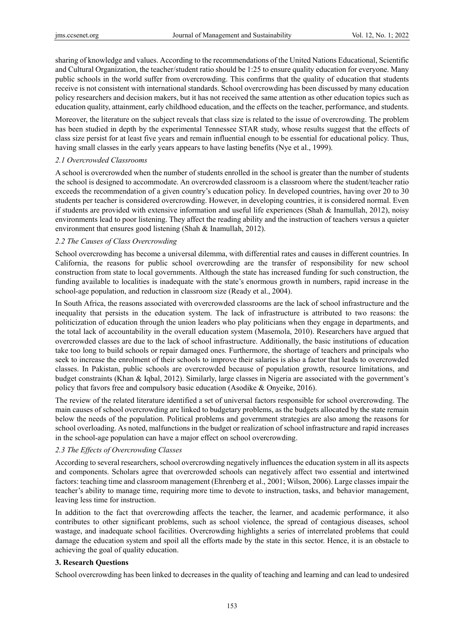sharing of knowledge and values. According to the recommendations of the United Nations Educational, Scientific and Cultural Organization, the teacher/student ratio should be 1:25 to ensure quality education for everyone. Many public schools in the world suffer from overcrowding. This confirms that the quality of education that students receive is not consistent with international standards. School overcrowding has been discussed by many education policy researchers and decision makers, but it has not received the same attention as other education topics such as education quality, attainment, early childhood education, and the effects on the teacher, performance, and students.

Moreover, the literature on the subject reveals that class size is related to the issue of overcrowding. The problem has been studied in depth by the experimental Tennessee STAR study, whose results suggest that the effects of class size persist for at least five years and remain influential enough to be essential for educational policy. Thus, having small classes in the early years appears to have lasting benefits (Nye et al., 1999).

#### *2.1 Overcrowded Classrooms*

A school is overcrowded when the number of students enrolled in the school is greater than the number of students the school is designed to accommodate. An overcrowded classroom is a classroom where the student/teacher ratio exceeds the recommendation of a given country's education policy. In developed countries, having over 20 to 30 students per teacher is considered overcrowding. However, in developing countries, it is considered normal. Even if students are provided with extensive information and useful life experiences (Shah & Inamullah, 2012), noisy environments lead to poor listening. They affect the reading ability and the instruction of teachers versus a quieter environment that ensures good listening (Shah & Inamullah, 2012).

#### *2.2 The Causes of Class Overcrowding*

School overcrowding has become a universal dilemma, with differential rates and causes in different countries. In California, the reasons for public school overcrowding are the transfer of responsibility for new school construction from state to local governments. Although the state has increased funding for such construction, the funding available to localities is inadequate with the state's enormous growth in numbers, rapid increase in the school-age population, and reduction in classroom size (Ready et al., 2004).

In South Africa, the reasons associated with overcrowded classrooms are the lack of school infrastructure and the inequality that persists in the education system. The lack of infrastructure is attributed to two reasons: the politicization of education through the union leaders who play politicians when they engage in departments, and the total lack of accountability in the overall education system (Masemola, 2010). Researchers have argued that overcrowded classes are due to the lack of school infrastructure. Additionally, the basic institutions of education take too long to build schools or repair damaged ones. Furthermore, the shortage of teachers and principals who seek to increase the enrolment of their schools to improve their salaries is also a factor that leads to overcrowded classes. In Pakistan, public schools are overcrowded because of population growth, resource limitations, and budget constraints (Khan & Iqbal, 2012). Similarly, large classes in Nigeria are associated with the government's policy that favors free and compulsory basic education (Asodike & Onyeike, 2016).

The review of the related literature identified a set of universal factors responsible for school overcrowding. The main causes of school overcrowding are linked to budgetary problems, as the budgets allocated by the state remain below the needs of the population. Political problems and government strategies are also among the reasons for school overloading. As noted, malfunctions in the budget or realization of school infrastructure and rapid increases in the school-age population can have a major effect on school overcrowding.

#### *2.3 The Effects of Overcrowding Classes*

According to several researchers, school overcrowding negatively influences the education system in all its aspects and components. Scholars agree that overcrowded schools can negatively affect two essential and intertwined factors: teaching time and classroom management (Ehrenberg et al., 2001; Wilson, 2006). Large classes impair the teacher's ability to manage time, requiring more time to devote to instruction, tasks, and behavior management, leaving less time for instruction.

In addition to the fact that overcrowding affects the teacher, the learner, and academic performance, it also contributes to other significant problems, such as school violence, the spread of contagious diseases, school wastage, and inadequate school facilities. Overcrowding highlights a series of interrelated problems that could damage the education system and spoil all the efforts made by the state in this sector. Hence, it is an obstacle to achieving the goal of quality education.

#### **3. Research Questions**

School overcrowding has been linked to decreases in the quality of teaching and learning and can lead to undesired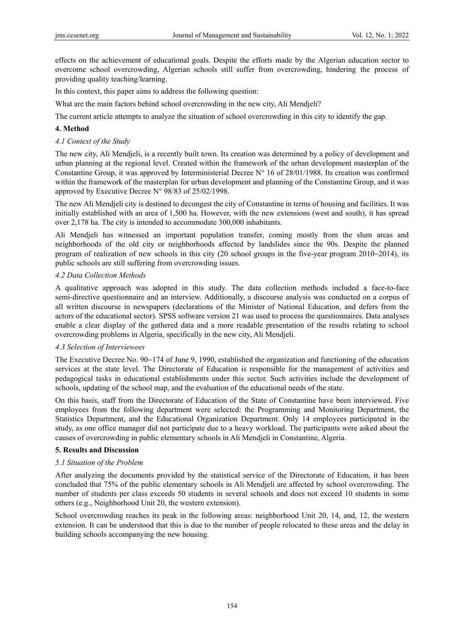effects on the achievement of educational goals. Despite the efforts made by the Algerian education sector to overcome school overcrowding, Algerian schools still suffer from overcrowding, hindering the process of providing quality teaching/learning.

In this context, this paper aims to address the following question:

What are the main factors behind school overcrowding in the new city, Ali Mendjeli?

The current article attempts to analyze the situation of school overcrowding in this city to identify the gap.

#### **4. Method**

#### *4.1 Context of the Study*

The new city, Ali Mendjeli, is a recently built town. Its creation was determined by a policy of development and urban planning at the regional level. Created within the framework of the urban development masterplan of the Constantine Group, it was approved by Interministerial Decree  $N^{\circ}$  16 of 28/01/1988. Its creation was confirmed within the framework of the masterplan for urban development and planning of the Constantine Group, and it was approved by Executive Decree N° 98/83 of 25/02/1998.

The new Ali Mendjeli city is destined to decongest the city of Constantine in terms of housing and facilities. It was initially established with an area of 1,500 ha. However, with the new extensions (west and south), it has spread over 2,178 ha. The city is intended to accommodate 300,000 inhabitants.

Ali Mendjeli has witnessed an important population transfer, coming mostly from the slum areas and neighborhoods of the old city or neighborhoods affected by landslides since the 90s. Despite the planned program of realization of new schools in this city (20 school groups in the five-year program 2010−2014), its public schools are still suffering from overcrowding issues.

#### *4.2 Data Collection Methods*

A qualitative approach was adopted in this study. The data collection methods included a face-to-face semi-directive questionnaire and an interview. Additionally, a discourse analysis was conducted on a corpus of all written discourse in newspapers (declarations of the Minister of National Education, and defers from the actors of the educational sector). SPSS software version 21 was used to process the questionnaires. Data analyses enable a clear display of the gathered data and a more readable presentation of the results relating to school overcrowding problems in Algeria, specifically in the new city, Ali Mendjeli.

#### *4.3 Selection of Interviewees*

The Executive Decree No. 90−174 of June 9, 1990, established the organization and functioning of the education services at the state level. The Directorate of Education is responsible for the management of activities and pedagogical tasks in educational establishments under this sector. Such activities include the development of schools, updating of the school map, and the evaluation of the educational needs of the state.

On this basis, staff from the Directorate of Education of the State of Constantine have been interviewed. Five employees from the following department were selected: the Programming and Monitoring Department, the Statistics Department, and the Educational Organization Department. Only 14 employees participated in the study, as one office manager did not participate due to a heavy workload. The participants were asked about the causes of overcrowding in public elementary schools in Ali Mendjeli in Constantine, Algeria.

## **5. Results and Discussion**

## *5.1 Situation of the Problem*

After analyzing the documents provided by the statistical service of the Directorate of Education, it has been concluded that 75% of the public elementary schools in Ali Mendjeli are affected by school overcrowding. The number of students per class exceeds 50 students in several schools and does not exceed 10 students in some others (e.g., Neighborhood Unit 20, the western extension).

School overcrowding reaches its peak in the following areas: neighborhood Unit 20, 14, and, 12, the western extension. It can be understood that this is due to the number of people relocated to these areas and the delay in building schools accompanying the new housing.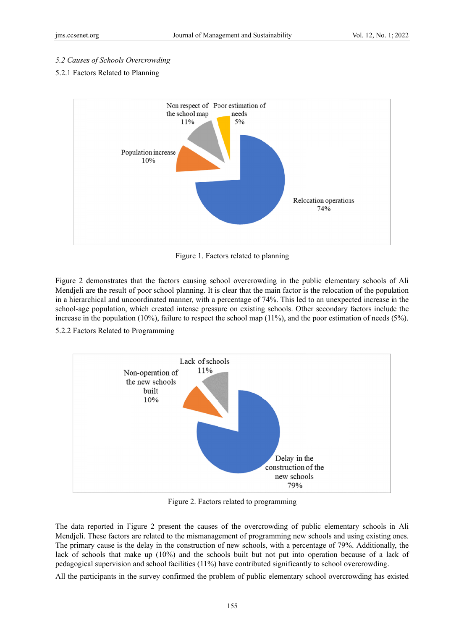#### 5.2 Causes of Schools Overcrowding

#### 5.2.1 Factors Related to Planning



Figure 1. Factors related to planning

Figure 2 demonstrates that the factors causing school overcrowding in the public elementary schools of Ali Mendjeli are the result of poor school planning. It is clear that the main factor is the relocation of the population in a hierarchical and uncoordinated manner, with a percentage of 74%. This led to an unexpected increase in the school-age population, which created intense pressure on existing schools. Other secondary factors include the increase in the population (10%), failure to respect the school map (11%), and the poor estimation of needs (5%).

5.2.2 Factors Related to Programming



Figure 2. Factors related to programming

The data reported in Figure 2 present the causes of the overcrowding of public elementary schools in Ali Mendjeli. These factors are related to the mismanagement of programming new schools and using existing ones. The primary cause is the delay in the construction of new schools, with a percentage of 79%. Additionally, the lack of schools that make up  $(10\%)$  and the schools built but not put into operation because of a lack of pedagogical supervision and school facilities (11%) have contributed significantly to school overcrowding.

All the participants in the survey confirmed the problem of public elementary school overcrowding has existed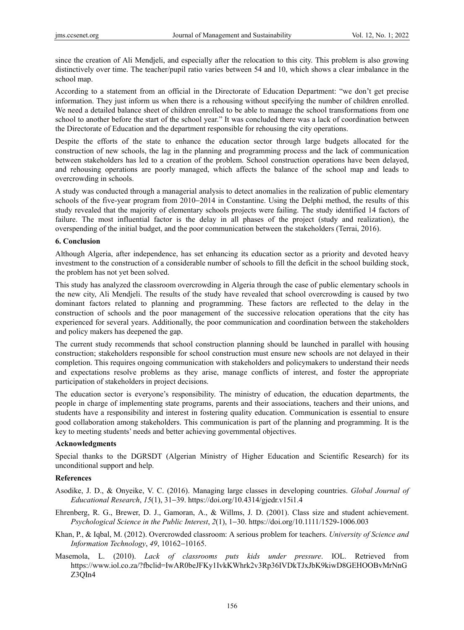since the creation of Ali Mendjeli, and especially after the relocation to this city. This problem is also growing distinctively over time. The teacher/pupil ratio varies between 54 and 10, which shows a clear imbalance in the school map.

According to a statement from an official in the Directorate of Education Department: "we don't get precise information. They just inform us when there is a rehousing without specifying the number of children enrolled. We need a detailed balance sheet of children enrolled to be able to manage the school transformations from one school to another before the start of the school year." It was concluded there was a lack of coordination between the Directorate of Education and the department responsible for rehousing the city operations.

Despite the efforts of the state to enhance the education sector through large budgets allocated for the construction of new schools, the lag in the planning and programming process and the lack of communication between stakeholders has led to a creation of the problem. School construction operations have been delayed, and rehousing operations are poorly managed, which affects the balance of the school map and leads to overcrowding in schools.

A study was conducted through a managerial analysis to detect anomalies in the realization of public elementary schools of the five-year program from 2010−2014 in Constantine. Using the Delphi method, the results of this study revealed that the majority of elementary schools projects were failing. The study identified 14 factors of failure. The most influential factor is the delay in all phases of the project (study and realization), the overspending of the initial budget, and the poor communication between the stakeholders (Terrai, 2016).

#### **6. Conclusion**

Although Algeria, after independence, has set enhancing its education sector as a priority and devoted heavy investment to the construction of a considerable number of schools to fill the deficit in the school building stock, the problem has not yet been solved.

This study has analyzed the classroom overcrowding in Algeria through the case of public elementary schools in the new city, Ali Mendjeli. The results of the study have revealed that school overcrowding is caused by two dominant factors related to planning and programming. These factors are reflected to the delay in the construction of schools and the poor management of the successive relocation operations that the city has experienced for several years. Additionally, the poor communication and coordination between the stakeholders and policy makers has deepened the gap.

The current study recommends that school construction planning should be launched in parallel with housing construction; stakeholders responsible for school construction must ensure new schools are not delayed in their completion. This requires ongoing communication with stakeholders and policymakers to understand their needs and expectations resolve problems as they arise, manage conflicts of interest, and foster the appropriate participation of stakeholders in project decisions.

The education sector is everyone's responsibility. The ministry of education, the education departments, the people in charge of implementing state programs, parents and their associations, teachers and their unions, and students have a responsibility and interest in fostering quality education. Communication is essential to ensure good collaboration among stakeholders. This communication is part of the planning and programming. It is the key to meeting students' needs and better achieving governmental objectives.

## **Acknowledgments**

Special thanks to the DGRSDT (Algerian Ministry of Higher Education and Scientific Research) for its unconditional support and help.

## **References**

- Asodike, J. D., & Onyeike, V. C. (2016). Managing large classes in developing countries. *Global Journal of Educational Research*, *15*(1), 31−39. https://doi.org/10.4314/gjedr.v15i1.4
- Ehrenberg, R. G., Brewer, D. J., Gamoran, A., & Willms, J. D. (2001). Class size and student achievement. *Psychological Science in the Public Interest*, *2*(1), 1−30. https://doi.org/10.1111/1529-1006.003
- Khan, P., & Iqbal, M. (2012). Overcrowded classroom: A serious problem for teachers. *University of Science and Information Technology*, *49*, 10162−10165.
- Masemola, L. (2010). *Lack of classrooms puts kids under pressure*. IOL. Retrieved from https://www.iol.co.za/?fbclid=IwAR0beJFKy1IvkKWhrk2v3Rp36IVDkTJxJbK9kiwD8GEHOOBvMrNnG Z3QIn4